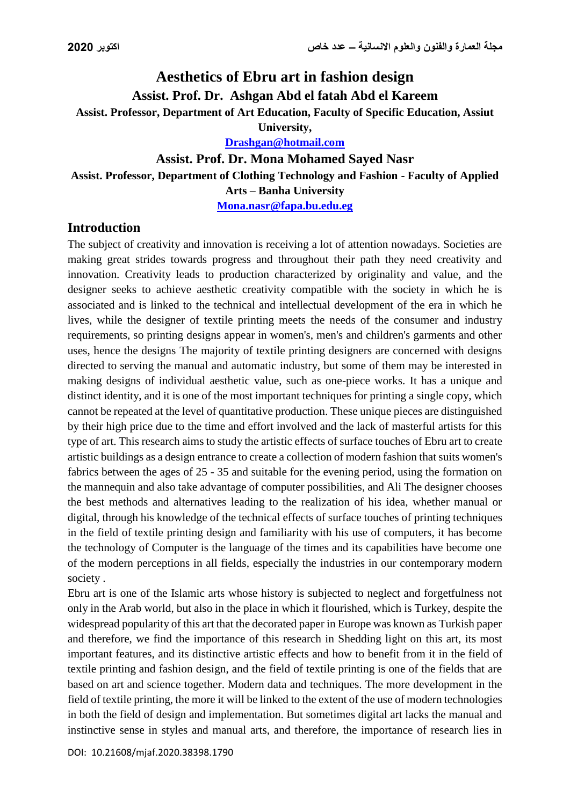# **Aesthetics of Ebru art in fashion design Assist. Prof. Dr. Ashgan Abd el fatah Abd el Kareem Assist. Professor, Department of Art Education, Faculty of Specific Education, Assiut University,**

**[Drashgan@hotmail.com](mailto:Drashgan@hotmail.com)**

#### **Assist. Prof. Dr. Mona Mohamed Sayed Nasr**

**Assist. Professor, Department of Clothing Technology and Fashion - Faculty of Applied** 

**Arts – Banha University**

**Mona.nasr@fapa.bu.edu.eg**

### **Introduction**

The subject of creativity and innovation is receiving a lot of attention nowadays. Societies are making great strides towards progress and throughout their path they need creativity and innovation. Creativity leads to production characterized by originality and value, and the designer seeks to achieve aesthetic creativity compatible with the society in which he is associated and is linked to the technical and intellectual development of the era in which he lives, while the designer of textile printing meets the needs of the consumer and industry requirements, so printing designs appear in women's, men's and children's garments and other uses, hence the designs The majority of textile printing designers are concerned with designs directed to serving the manual and automatic industry, but some of them may be interested in making designs of individual aesthetic value, such as one-piece works. It has a unique and distinct identity, and it is one of the most important techniques for printing a single copy, which cannot be repeated at the level of quantitative production. These unique pieces are distinguished by their high price due to the time and effort involved and the lack of masterful artists for this type of art. This research aims to study the artistic effects of surface touches of Ebru art to create artistic buildings as a design entrance to create a collection of modern fashion that suits women's fabrics between the ages of 25 - 35 and suitable for the evening period, using the formation on the mannequin and also take advantage of computer possibilities, and Ali The designer chooses the best methods and alternatives leading to the realization of his idea, whether manual or digital, through his knowledge of the technical effects of surface touches of printing techniques in the field of textile printing design and familiarity with his use of computers, it has become the technology of Computer is the language of the times and its capabilities have become one of the modern perceptions in all fields, especially the industries in our contemporary modern society .

Ebru art is one of the Islamic arts whose history is subjected to neglect and forgetfulness not only in the Arab world, but also in the place in which it flourished, which is Turkey, despite the widespread popularity of this art that the decorated paper in Europe was known as Turkish paper and therefore, we find the importance of this research in Shedding light on this art, its most important features, and its distinctive artistic effects and how to benefit from it in the field of textile printing and fashion design, and the field of textile printing is one of the fields that are based on art and science together. Modern data and techniques. The more development in the field of textile printing, the more it will be linked to the extent of the use of modern technologies in both the field of design and implementation. But sometimes digital art lacks the manual and instinctive sense in styles and manual arts, and therefore, the importance of research lies in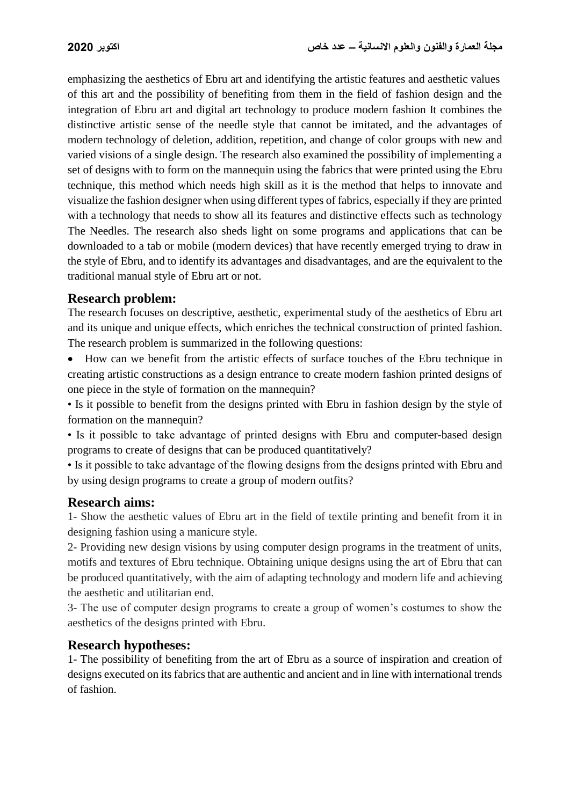emphasizing the aesthetics of Ebru art and identifying the artistic features and aesthetic values of this art and the possibility of benefiting from them in the field of fashion design and the integration of Ebru art and digital art technology to produce modern fashion It combines the distinctive artistic sense of the needle style that cannot be imitated, and the advantages of modern technology of deletion, addition, repetition, and change of color groups with new and varied visions of a single design. The research also examined the possibility of implementing a set of designs with to form on the mannequin using the fabrics that were printed using the Ebru technique, this method which needs high skill as it is the method that helps to innovate and visualize the fashion designer when using different types of fabrics, especially if they are printed with a technology that needs to show all its features and distinctive effects such as technology The Needles. The research also sheds light on some programs and applications that can be downloaded to a tab or mobile (modern devices) that have recently emerged trying to draw in the style of Ebru, and to identify its advantages and disadvantages, and are the equivalent to the traditional manual style of Ebru art or not.

### **Research problem:**

The research focuses on descriptive, aesthetic, experimental study of the aesthetics of Ebru art and its unique and unique effects, which enriches the technical construction of printed fashion. The research problem is summarized in the following questions:

 How can we benefit from the artistic effects of surface touches of the Ebru technique in creating artistic constructions as a design entrance to create modern fashion printed designs of one piece in the style of formation on the mannequin?

• Is it possible to benefit from the designs printed with Ebru in fashion design by the style of formation on the mannequin?

• Is it possible to take advantage of printed designs with Ebru and computer-based design programs to create of designs that can be produced quantitatively?

• Is it possible to take advantage of the flowing designs from the designs printed with Ebru and by using design programs to create a group of modern outfits?

#### **Research aims:**

1- Show the aesthetic values of Ebru art in the field of textile printing and benefit from it in designing fashion using a manicure style.

2- Providing new design visions by using computer design programs in the treatment of units, motifs and textures of Ebru technique. Obtaining unique designs using the art of Ebru that can be produced quantitatively, with the aim of adapting technology and modern life and achieving the aesthetic and utilitarian end.

3- The use of computer design programs to create a group of women's costumes to show the aesthetics of the designs printed with Ebru.

### **Research hypotheses:**

1- The possibility of benefiting from the art of Ebru as a source of inspiration and creation of designs executed on its fabrics that are authentic and ancient and in line with international trends of fashion.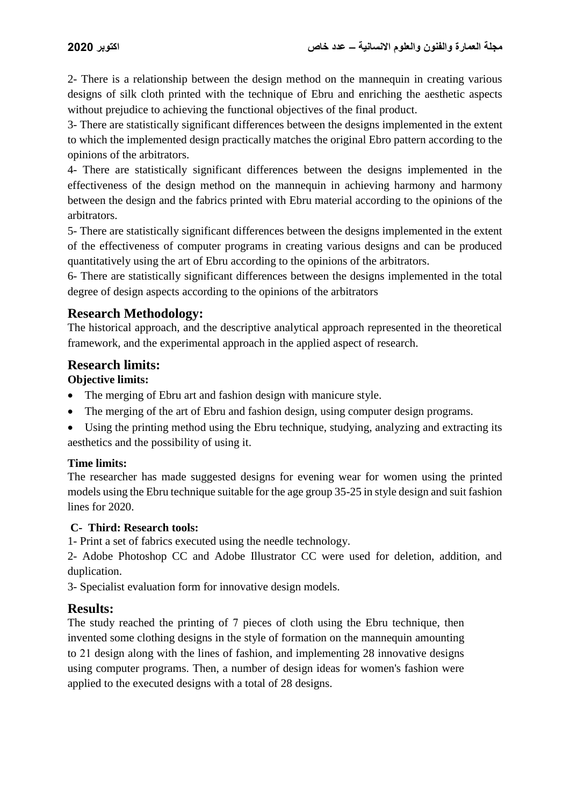2- There is a relationship between the design method on the mannequin in creating various designs of silk cloth printed with the technique of Ebru and enriching the aesthetic aspects without prejudice to achieving the functional objectives of the final product.

3- There are statistically significant differences between the designs implemented in the extent to which the implemented design practically matches the original Ebro pattern according to the opinions of the arbitrators.

4- There are statistically significant differences between the designs implemented in the effectiveness of the design method on the mannequin in achieving harmony and harmony between the design and the fabrics printed with Ebru material according to the opinions of the arbitrators.

5- There are statistically significant differences between the designs implemented in the extent of the effectiveness of computer programs in creating various designs and can be produced quantitatively using the art of Ebru according to the opinions of the arbitrators.

6- There are statistically significant differences between the designs implemented in the total degree of design aspects according to the opinions of the arbitrators

## **Research Methodology:**

The historical approach, and the descriptive analytical approach represented in the theoretical framework, and the experimental approach in the applied aspect of research.

## **Research limits:**

### **Objective limits:**

- The merging of Ebru art and fashion design with manicure style.
- The merging of the art of Ebru and fashion design, using computer design programs.
- Using the printing method using the Ebru technique, studying, analyzing and extracting its aesthetics and the possibility of using it.

### **Time limits:**

The researcher has made suggested designs for evening wear for women using the printed models using the Ebru technique suitable for the age group 35-25 in style design and suit fashion lines for 2020.

### **C- Third: Research tools:**

1- Print a set of fabrics executed using the needle technology.

2- Adobe Photoshop CC and Adobe Illustrator CC were used for deletion, addition, and duplication.

3- Specialist evaluation form for innovative design models.

## **Results:**

The study reached the printing of 7 pieces of cloth using the Ebru technique, then invented some clothing designs in the style of formation on the mannequin amounting to 21 design along with the lines of fashion, and implementing 28 innovative designs using computer programs. Then, a number of design ideas for women's fashion were applied to the executed designs with a total of 28 designs.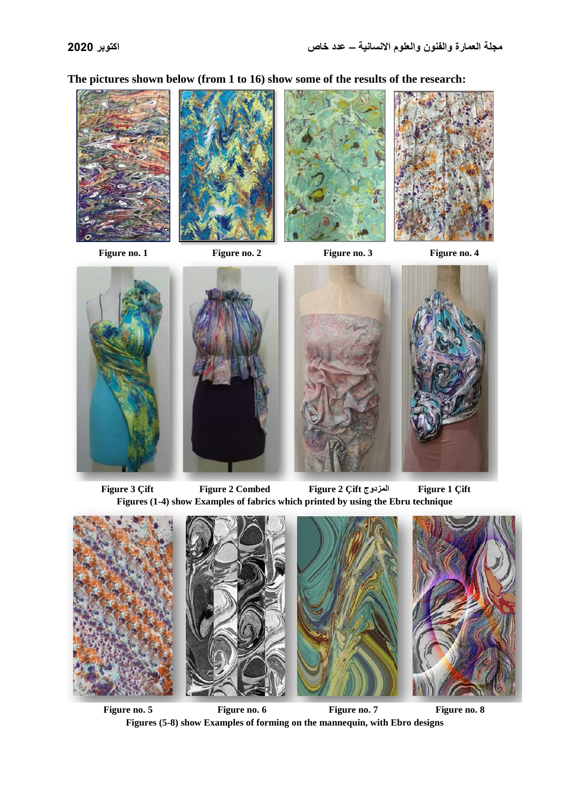**The pictures shown below (from 1 to 16) show some of the results of the research:**









Figure no. 1 **Figure no. 2** Figure no. 3 **Figure no. 4** Figure no. 4



 **Figure 3 Çift Figure 2 Combed Figure 2 Çift المزدوج Figure 1 Çift Figures (1-4) show Examples of fabrics which printed by using the Ebru technique**



Figure no. 5 **Figure no. 6** Figure no. 6 **Figure no. 7** Figure no. 8 **Figures (5-8) show Examples of forming on the mannequin, with Ebro designs**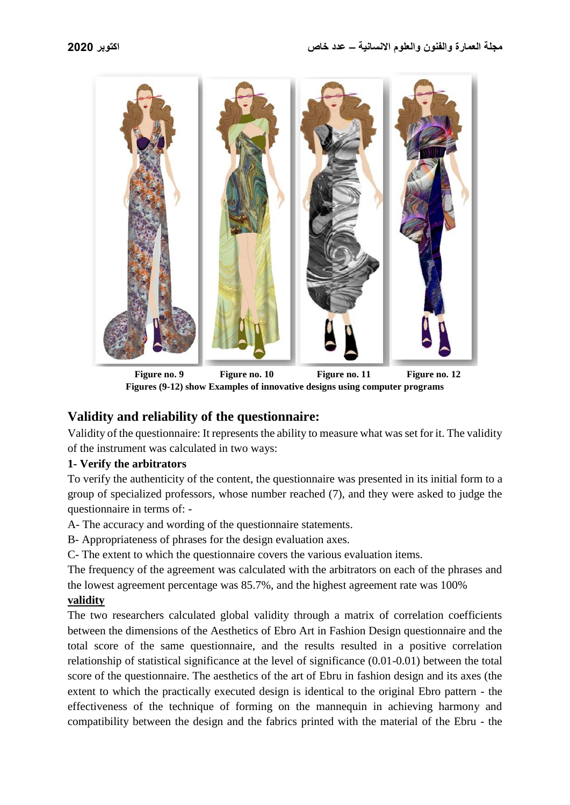

Figure no. 9 Figure no. 10 Figure no. 11 Figure no. 12 **Figures (9-12) show Examples of innovative designs using computer programs**

## **Validity and reliability of the questionnaire:**

Validity of the questionnaire: It represents the ability to measure what was set for it. The validity of the instrument was calculated in two ways:

### **1- Verify the arbitrators**

To verify the authenticity of the content, the questionnaire was presented in its initial form to a group of specialized professors, whose number reached (7), and they were asked to judge the questionnaire in terms of: -

A- The accuracy and wording of the questionnaire statements.

B- Appropriateness of phrases for the design evaluation axes.

C- The extent to which the questionnaire covers the various evaluation items.

The frequency of the agreement was calculated with the arbitrators on each of the phrases and the lowest agreement percentage was 85.7%, and the highest agreement rate was 100%

#### **validity**

The two researchers calculated global validity through a matrix of correlation coefficients between the dimensions of the Aesthetics of Ebro Art in Fashion Design questionnaire and the total score of the same questionnaire, and the results resulted in a positive correlation relationship of statistical significance at the level of significance (0.01-0.01) between the total score of the questionnaire. The aesthetics of the art of Ebru in fashion design and its axes (the extent to which the practically executed design is identical to the original Ebro pattern - the effectiveness of the technique of forming on the mannequin in achieving harmony and compatibility between the design and the fabrics printed with the material of the Ebru - the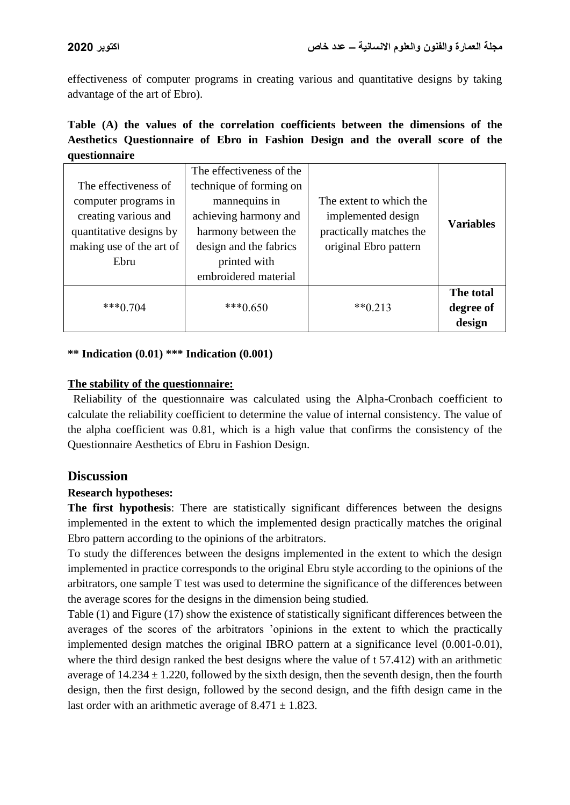effectiveness of computer programs in creating various and quantitative designs by taking advantage of the art of Ebro).

| Table (A) the values of the correlation coefficients between the dimensions of the |  |  |  |  |  |  |  |
|------------------------------------------------------------------------------------|--|--|--|--|--|--|--|
| Aesthetics Questionnaire of Ebro in Fashion Design and the overall score of the    |  |  |  |  |  |  |  |
| questionnaire                                                                      |  |  |  |  |  |  |  |

|                          | The effectiveness of the |                         |                  |
|--------------------------|--------------------------|-------------------------|------------------|
| The effectiveness of     | technique of forming on  |                         |                  |
| computer programs in     | mannequins in            | The extent to which the |                  |
| creating various and     | achieving harmony and    | implemented design      |                  |
| quantitative designs by  | harmony between the      | practically matches the | <b>Variables</b> |
| making use of the art of | design and the fabrics   | original Ebro pattern   |                  |
| Ebru                     | printed with             |                         |                  |
|                          | embroidered material     |                         |                  |
|                          |                          |                         | The total        |
| $***0.704$               | $***0.650$               | $**0.213$               | degree of        |
|                          |                          |                         | design           |

#### **\*\* Indication (0.01) \*\*\* Indication (0.001)**

#### **The stability of the questionnaire:**

Reliability of the questionnaire was calculated using the Alpha-Cronbach coefficient to calculate the reliability coefficient to determine the value of internal consistency. The value of the alpha coefficient was 0.81, which is a high value that confirms the consistency of the Questionnaire Aesthetics of Ebru in Fashion Design.

#### **Discussion**

#### **Research hypotheses:**

**The first hypothesis**: There are statistically significant differences between the designs implemented in the extent to which the implemented design practically matches the original Ebro pattern according to the opinions of the arbitrators.

To study the differences between the designs implemented in the extent to which the design implemented in practice corresponds to the original Ebru style according to the opinions of the arbitrators, one sample T test was used to determine the significance of the differences between the average scores for the designs in the dimension being studied.

Table (1) and Figure (17) show the existence of statistically significant differences between the averages of the scores of the arbitrators 'opinions in the extent to which the practically implemented design matches the original IBRO pattern at a significance level (0.001-0.01), where the third design ranked the best designs where the value of t 57.412) with an arithmetic average of  $14.234 \pm 1.220$ , followed by the sixth design, then the seventh design, then the fourth design, then the first design, followed by the second design, and the fifth design came in the last order with an arithmetic average of  $8.471 \pm 1.823$ .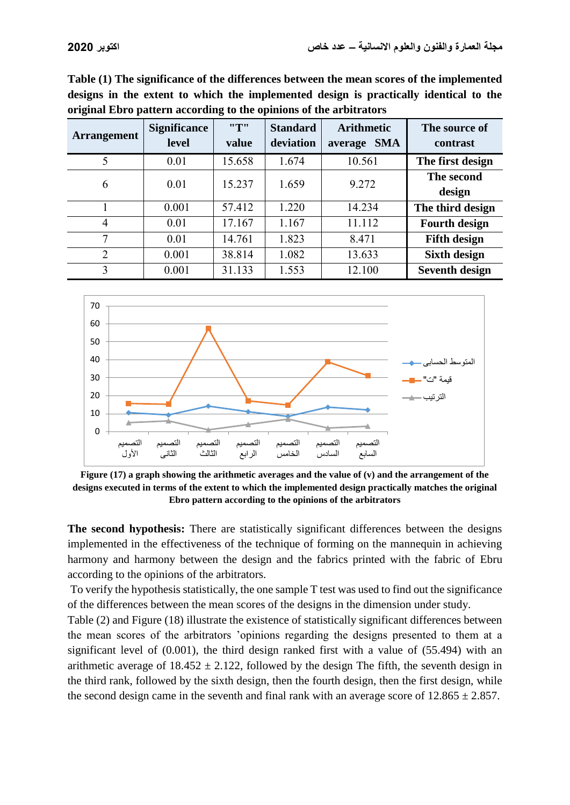| Table (1) The significance of the differences between the mean scores of the implemented |
|------------------------------------------------------------------------------------------|
| designs in the extent to which the implemented design is practically identical to the    |
| original Ebro pattern according to the opinions of the arbitrators                       |

| <b>Arrangement</b> | <b>Significance</b><br><b>level</b> | "T"<br>value | <b>Standard</b><br>deviation | <b>Arithmetic</b><br><b>SMA</b><br>average | The source of<br>contrast |
|--------------------|-------------------------------------|--------------|------------------------------|--------------------------------------------|---------------------------|
| 5                  | 0.01                                | 15.658       | 1.674                        | 10.561                                     | The first design          |
| 6                  | 0.01                                | 15.237       | 1.659                        | 9.272                                      | The second                |
|                    |                                     |              |                              |                                            | design                    |
|                    | 0.001                               | 57.412       | 1.220                        | 14.234                                     | The third design          |
| 4                  | 0.01                                | 17.167       | 1.167                        | 11.112                                     | <b>Fourth design</b>      |
| 7                  | 0.01                                | 14.761       | 1.823                        | 8.471                                      | <b>Fifth design</b>       |
| $\overline{2}$     | 0.001                               | 38.814       | 1.082                        | 13.633                                     | <b>Sixth design</b>       |
| 3                  | 0.001                               | 31.133       | 1.553                        | 12.100                                     | <b>Seventh design</b>     |



**Figure (17) a graph showing the arithmetic averages and the value of (v) and the arrangement of the designs executed in terms of the extent to which the implemented design practically matches the original Ebro pattern according to the opinions of the arbitrators**

**The second hypothesis:** There are statistically significant differences between the designs implemented in the effectiveness of the technique of forming on the mannequin in achieving harmony and harmony between the design and the fabrics printed with the fabric of Ebru according to the opinions of the arbitrators.

To verify the hypothesis statistically, the one sample T test was used to find out the significance of the differences between the mean scores of the designs in the dimension under study.

Table (2) and Figure (18) illustrate the existence of statistically significant differences between the mean scores of the arbitrators 'opinions regarding the designs presented to them at a significant level of (0.001), the third design ranked first with a value of (55.494) with an arithmetic average of  $18.452 \pm 2.122$ , followed by the design The fifth, the seventh design in the third rank, followed by the sixth design, then the fourth design, then the first design, while the second design came in the seventh and final rank with an average score of  $12.865 \pm 2.857$ .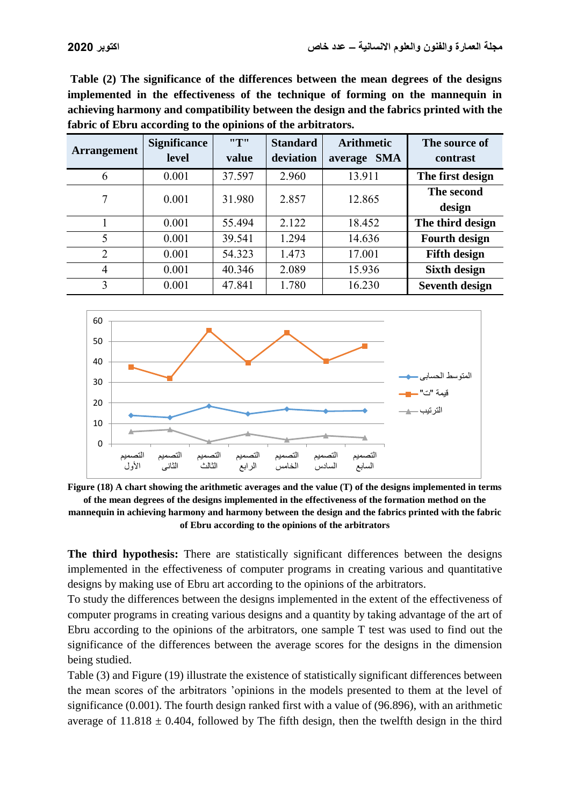**Table (2) The significance of the differences between the mean degrees of the designs implemented in the effectiveness of the technique of forming on the mannequin in achieving harmony and compatibility between the design and the fabrics printed with the fabric of Ebru according to the opinions of the arbitrators.**

| <b>Arrangement</b> | <b>Significance</b><br>level | "T"<br>value | <b>Standard</b><br>deviation | <b>Arithmetic</b><br><b>SMA</b><br>average | The source of<br>contrast |
|--------------------|------------------------------|--------------|------------------------------|--------------------------------------------|---------------------------|
| 6                  | 0.001                        | 37.597       | 2.960                        | 13.911                                     | The first design          |
| 7                  | 0.001                        | 31.980       | 2.857                        | 12.865                                     | The second<br>design      |
|                    | 0.001                        | 55.494       | 2.122                        | 18.452                                     | The third design          |
| 5                  | 0.001                        | 39.541       | 1.294                        | 14.636                                     | <b>Fourth design</b>      |
| $\overline{2}$     | 0.001                        | 54.323       | 1.473                        | 17.001                                     | <b>Fifth design</b>       |
| 4                  | 0.001                        | 40.346       | 2.089                        | 15.936                                     | <b>Sixth design</b>       |
| 3                  | 0.001                        | 47.841       | 1.780                        | 16.230                                     | <b>Seventh design</b>     |



**Figure (18) A chart showing the arithmetic averages and the value (T) of the designs implemented in terms of the mean degrees of the designs implemented in the effectiveness of the formation method on the mannequin in achieving harmony and harmony between the design and the fabrics printed with the fabric of Ebru according to the opinions of the arbitrators**

**The third hypothesis:** There are statistically significant differences between the designs implemented in the effectiveness of computer programs in creating various and quantitative designs by making use of Ebru art according to the opinions of the arbitrators.

To study the differences between the designs implemented in the extent of the effectiveness of computer programs in creating various designs and a quantity by taking advantage of the art of Ebru according to the opinions of the arbitrators, one sample T test was used to find out the significance of the differences between the average scores for the designs in the dimension being studied.

Table (3) and Figure (19) illustrate the existence of statistically significant differences between the mean scores of the arbitrators 'opinions in the models presented to them at the level of significance (0.001). The fourth design ranked first with a value of (96.896), with an arithmetic average of  $11.818 \pm 0.404$ , followed by The fifth design, then the twelfth design in the third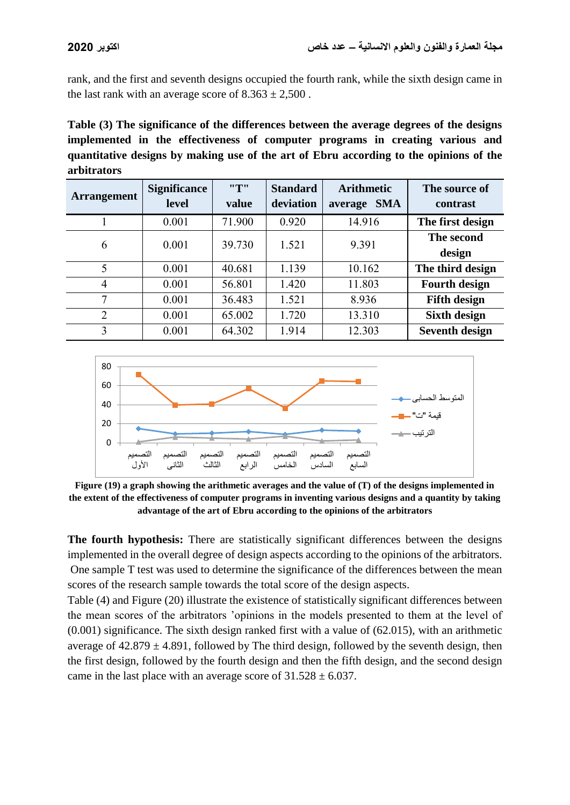rank, and the first and seventh designs occupied the fourth rank, while the sixth design came in the last rank with an average score of  $8.363 \pm 2,500$ .

**Table (3) The significance of the differences between the average degrees of the designs implemented in the effectiveness of computer programs in creating various and quantitative designs by making use of the art of Ebru according to the opinions of the arbitrators**

| <b>Arrangement</b> | <b>Significance</b><br><b>level</b> | "T"<br>value | <b>Standard</b><br>deviation | <b>Arithmetic</b><br><b>SMA</b><br>average | The source of<br>contrast |
|--------------------|-------------------------------------|--------------|------------------------------|--------------------------------------------|---------------------------|
|                    | 0.001                               | 71.900       | 0.920                        | 14.916                                     | The first design          |
| 6                  | 0.001                               | 39.730       | 1.521                        | 9.391                                      | The second<br>design      |
| 5                  | 0.001                               | 40.681       | 1.139                        | 10.162                                     | The third design          |
| $\overline{4}$     | 0.001                               | 56.801       | 1.420                        | 11.803                                     | <b>Fourth design</b>      |
| 7                  | 0.001                               | 36.483       | 1.521                        | 8.936                                      | <b>Fifth design</b>       |
| $\overline{2}$     | 0.001                               | 65.002       | 1.720                        | 13.310                                     | <b>Sixth design</b>       |
| 3                  | 0.001                               | 64.302       | 1.914                        | 12.303                                     | <b>Seventh design</b>     |



**Figure (19) a graph showing the arithmetic averages and the value of (T) of the designs implemented in the extent of the effectiveness of computer programs in inventing various designs and a quantity by taking advantage of the art of Ebru according to the opinions of the arbitrators**

**The fourth hypothesis:** There are statistically significant differences between the designs implemented in the overall degree of design aspects according to the opinions of the arbitrators. One sample T test was used to determine the significance of the differences between the mean scores of the research sample towards the total score of the design aspects.

Table (4) and Figure (20) illustrate the existence of statistically significant differences between the mean scores of the arbitrators 'opinions in the models presented to them at the level of (0.001) significance. The sixth design ranked first with a value of (62.015), with an arithmetic average of  $42.879 \pm 4.891$ , followed by The third design, followed by the seventh design, then the first design, followed by the fourth design and then the fifth design, and the second design came in the last place with an average score of  $31.528 \pm 6.037$ .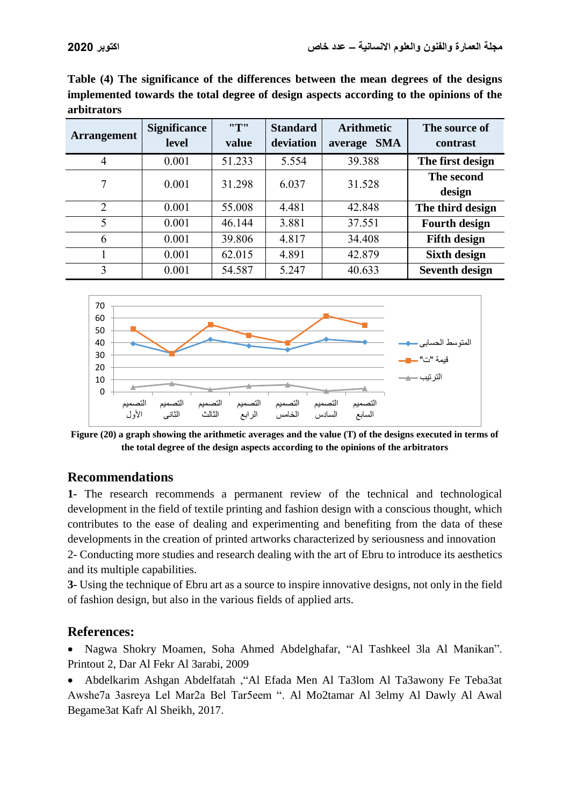**Table (4) The significance of the differences between the mean degrees of the designs implemented towards the total degree of design aspects according to the opinions of the arbitrators**

| <b>Arrangement</b> | <b>Significance</b><br><b>level</b> | "T"<br>value | <b>Standard</b><br>deviation | <b>Arithmetic</b><br><b>SMA</b><br>average | The source of<br>contrast |
|--------------------|-------------------------------------|--------------|------------------------------|--------------------------------------------|---------------------------|
| 4                  | 0.001                               | 51.233       | 5.554                        | 39.388                                     | The first design          |
| 7                  | 0.001                               | 31.298       | 6.037                        | 31.528                                     | The second<br>design      |
| $\overline{2}$     | 0.001                               | 55.008       | 4.481                        | 42.848                                     | The third design          |
| 5                  | 0.001                               | 46.144       | 3.881                        | 37.551                                     | <b>Fourth design</b>      |
| 6                  | 0.001                               | 39.806       | 4.817                        | 34.408                                     | <b>Fifth design</b>       |
|                    | 0.001                               | 62.015       | 4.891                        | 42.879                                     | <b>Sixth design</b>       |
| 3                  | 0.001                               | 54.587       | 5.247                        | 40.633                                     | <b>Seventh design</b>     |



**Figure (20) a graph showing the arithmetic averages and the value (T) of the designs executed in terms of the total degree of the design aspects according to the opinions of the arbitrators**

## **Recommendations**

**1-** The research recommends a permanent review of the technical and technological development in the field of textile printing and fashion design with a conscious thought, which contributes to the ease of dealing and experimenting and benefiting from the data of these developments in the creation of printed artworks characterized by seriousness and innovation 2- Conducting more studies and research dealing with the art of Ebru to introduce its aesthetics and its multiple capabilities.

**3-** Using the technique of Ebru art as a source to inspire innovative designs, not only in the field of fashion design, but also in the various fields of applied arts.

## **References:**

 Nagwa Shokry Moamen, Soha Ahmed Abdelghafar, "Al Tashkeel 3la Al Manikan". Printout 2, Dar Al Fekr Al 3arabi, 2009

 Abdelkarim Ashgan Abdelfatah ,"Al Efada Men Al Ta3lom Al Ta3awony Fe Teba3at Awshe7a 3asreya Lel Mar2a Bel Tar5eem ". Al Mo2tamar Al 3elmy Al Dawly Al Awal Begame3at Kafr Al Sheikh, 2017.